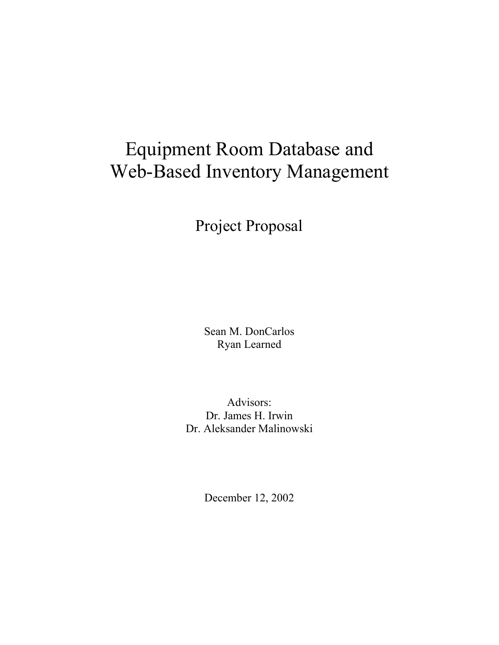# Equipment Room Database and Web-Based Inventory Management

Project Proposal

Sean M. DonCarlos Ryan Learned

Advisors: Dr. James H. Irwin Dr. Aleksander Malinowski

December 12, 2002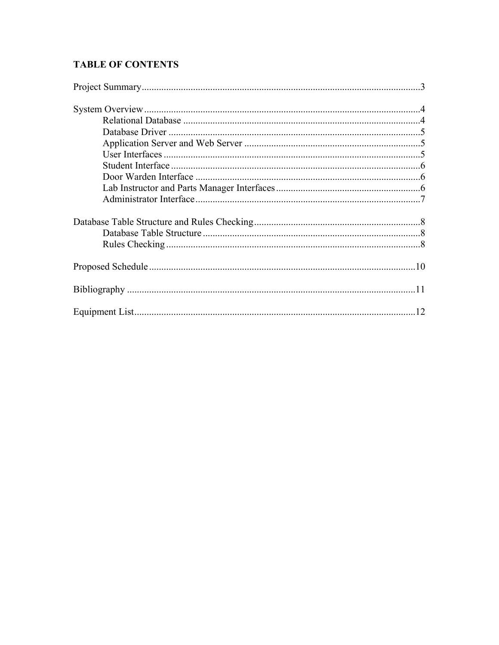# **TABLE OF CONTENTS**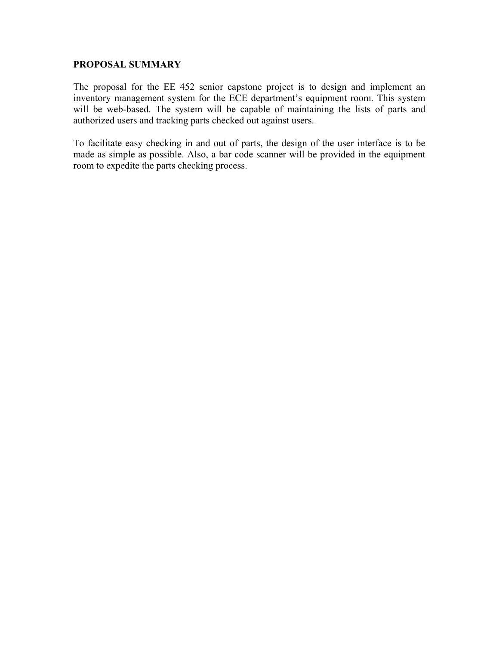## **PROPOSAL SUMMARY**

The proposal for the EE 452 senior capstone project is to design and implement an inventory management system for the ECE department's equipment room. This system will be web-based. The system will be capable of maintaining the lists of parts and authorized users and tracking parts checked out against users.

To facilitate easy checking in and out of parts, the design of the user interface is to be made as simple as possible. Also, a bar code scanner will be provided in the equipment room to expedite the parts checking process.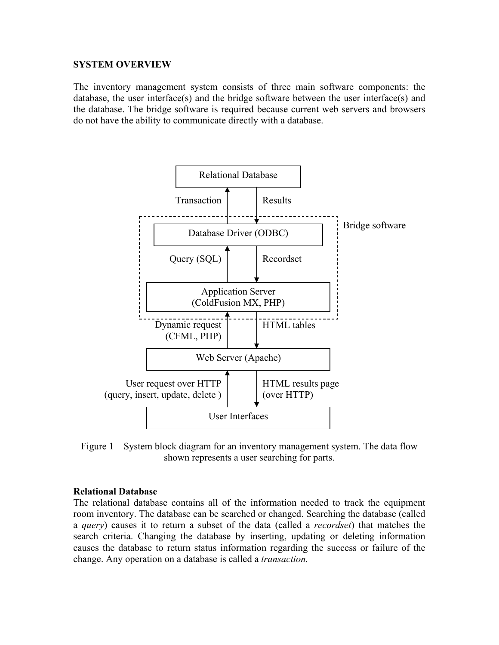## **SYSTEM OVERVIEW**

The inventory management system consists of three main software components: the database, the user interface(s) and the bridge software between the user interface(s) and the database. The bridge software is required because current web servers and browsers do not have the ability to communicate directly with a database.



Figure 1 – System block diagram for an inventory management system. The data flow shown represents a user searching for parts.

## **Relational Database**

The relational database contains all of the information needed to track the equipment room inventory. The database can be searched or changed. Searching the database (called a *query*) causes it to return a subset of the data (called a *recordset*) that matches the search criteria. Changing the database by inserting, updating or deleting information causes the database to return status information regarding the success or failure of the change. Any operation on a database is called a *transaction.*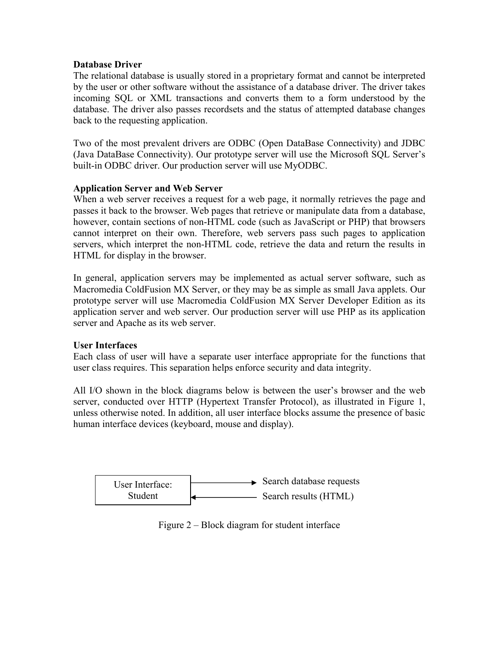# **Database Driver**

The relational database is usually stored in a proprietary format and cannot be interpreted by the user or other software without the assistance of a database driver. The driver takes incoming SQL or XML transactions and converts them to a form understood by the database. The driver also passes recordsets and the status of attempted database changes back to the requesting application.

Two of the most prevalent drivers are ODBC (Open DataBase Connectivity) and JDBC (Java DataBase Connectivity). Our prototype server will use the Microsoft SQL Server's built-in ODBC driver. Our production server will use MyODBC.

# **Application Server and Web Server**

When a web server receives a request for a web page, it normally retrieves the page and passes it back to the browser. Web pages that retrieve or manipulate data from a database, however, contain sections of non-HTML code (such as JavaScript or PHP) that browsers cannot interpret on their own. Therefore, web servers pass such pages to application servers, which interpret the non-HTML code, retrieve the data and return the results in HTML for display in the browser.

In general, application servers may be implemented as actual server software, such as Macromedia ColdFusion MX Server, or they may be as simple as small Java applets. Our prototype server will use Macromedia ColdFusion MX Server Developer Edition as its application server and web server. Our production server will use PHP as its application server and Apache as its web server.

## **User Interfaces**

Each class of user will have a separate user interface appropriate for the functions that user class requires. This separation helps enforce security and data integrity.

All I/O shown in the block diagrams below is between the user's browser and the web server, conducted over HTTP (Hypertext Transfer Protocol), as illustrated in Figure 1, unless otherwise noted. In addition, all user interface blocks assume the presence of basic human interface devices (keyboard, mouse and display).



Figure 2 – Block diagram for student interface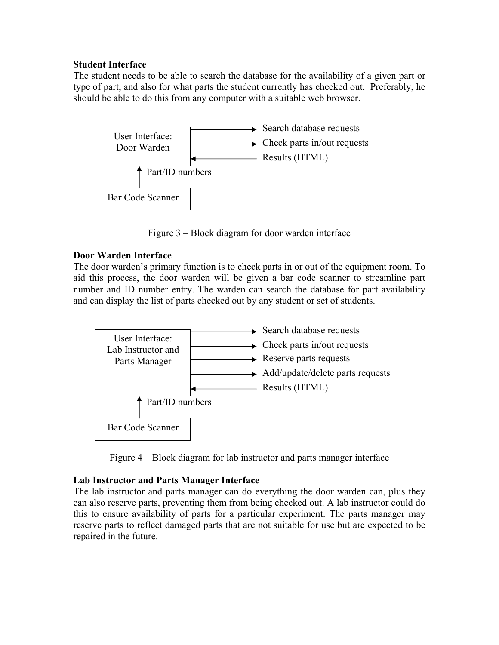## **Student Interface**

The student needs to be able to search the database for the availability of a given part or type of part, and also for what parts the student currently has checked out. Preferably, he should be able to do this from any computer with a suitable web browser.



Figure 3 – Block diagram for door warden interface

# **Door Warden Interface**

The door warden's primary function is to check parts in or out of the equipment room. To aid this process, the door warden will be given a bar code scanner to streamline part number and ID number entry. The warden can search the database for part availability and can display the list of parts checked out by any student or set of students.



Figure 4 – Block diagram for lab instructor and parts manager interface

# **Lab Instructor and Parts Manager Interface**

The lab instructor and parts manager can do everything the door warden can, plus they can also reserve parts, preventing them from being checked out. A lab instructor could do this to ensure availability of parts for a particular experiment. The parts manager may reserve parts to reflect damaged parts that are not suitable for use but are expected to be repaired in the future.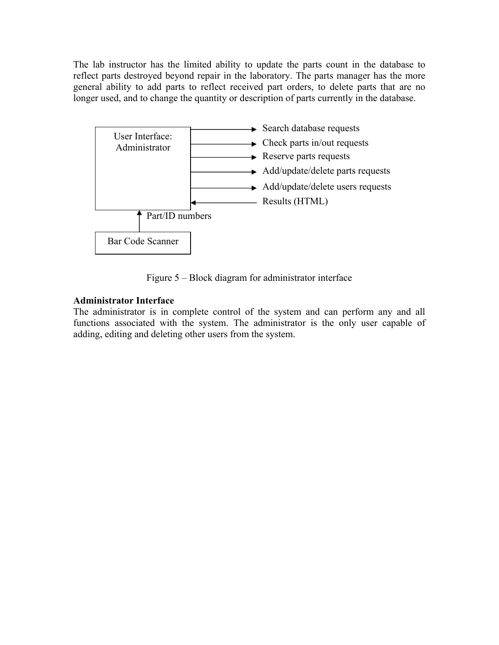The lab instructor has the limited ability to update the parts count in the database to reflect parts destroyed beyond repair in the laboratory. The parts manager has the more general ability to add parts to reflect received part orders, to delete parts that are no longer used, and to change the quantity or description of parts currently in the database.



Figure 5 – Block diagram for administrator interface

# **Administrator Interface**

The administrator is in complete control of the system and can perform any and all functions associated with the system. The administrator is the only user capable of adding, editing and deleting other users from the system.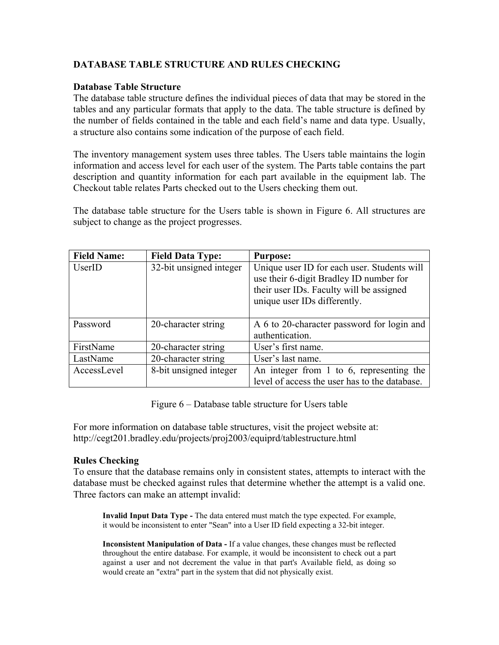# **DATABASE TABLE STRUCTURE AND RULES CHECKING**

## **Database Table Structure**

The database table structure defines the individual pieces of data that may be stored in the tables and any particular formats that apply to the data. The table structure is defined by the number of fields contained in the table and each field's name and data type. Usually, a structure also contains some indication of the purpose of each field.

The inventory management system uses three tables. The Users table maintains the login information and access level for each user of the system. The Parts table contains the part description and quantity information for each part available in the equipment lab. The Checkout table relates Parts checked out to the Users checking them out.

The database table structure for the Users table is shown in Figure 6. All structures are subject to change as the project progresses.

| <b>Field Name:</b> | <b>Field Data Type:</b> | <b>Purpose:</b>                               |
|--------------------|-------------------------|-----------------------------------------------|
| UserID             | 32-bit unsigned integer | Unique user ID for each user. Students will   |
|                    |                         | use their 6-digit Bradley ID number for       |
|                    |                         | their user IDs. Faculty will be assigned      |
|                    |                         | unique user IDs differently.                  |
|                    |                         |                                               |
| Password           | 20-character string     | A 6 to 20-character password for login and    |
|                    |                         | authentication.                               |
| FirstName          | 20-character string     | User's first name.                            |
| LastName           | 20-character string     | User's last name.                             |
| AccessLevel        | 8-bit unsigned integer  | An integer from 1 to 6, representing the      |
|                    |                         | level of access the user has to the database. |

Figure 6 – Database table structure for Users table

For more information on database table structures, visit the project website at: http://cegt201.bradley.edu/projects/proj2003/equiprd/tablestructure.html

## **Rules Checking**

To ensure that the database remains only in consistent states, attempts to interact with the database must be checked against rules that determine whether the attempt is a valid one. Three factors can make an attempt invalid:

**Invalid Input Data Type -** The data entered must match the type expected. For example, it would be inconsistent to enter "Sean" into a User ID field expecting a 32-bit integer.

**Inconsistent Manipulation of Data -** If a value changes, these changes must be reflected throughout the entire database. For example, it would be inconsistent to check out a part against a user and not decrement the value in that part's Available field, as doing so would create an "extra" part in the system that did not physically exist.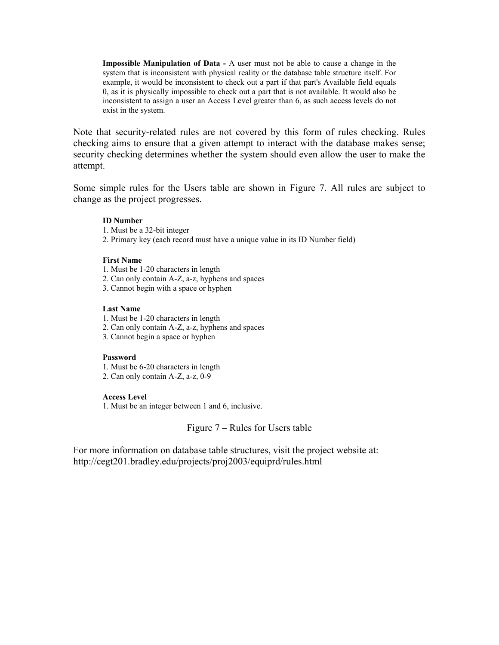**Impossible Manipulation of Data -** A user must not be able to cause a change in the system that is inconsistent with physical reality or the database table structure itself. For example, it would be inconsistent to check out a part if that part's Available field equals 0, as it is physically impossible to check out a part that is not available. It would also be inconsistent to assign a user an Access Level greater than 6, as such access levels do not exist in the system.

Note that security-related rules are not covered by this form of rules checking. Rules checking aims to ensure that a given attempt to interact with the database makes sense; security checking determines whether the system should even allow the user to make the attempt.

Some simple rules for the Users table are shown in Figure 7. All rules are subject to change as the project progresses.

#### **ID Number**

- 1. Must be a 32-bit integer
- 2. Primary key (each record must have a unique value in its ID Number field)

#### **First Name**

- 1. Must be 1-20 characters in length
- 2. Can only contain A-Z, a-z, hyphens and spaces
- 3. Cannot begin with a space or hyphen

#### **Last Name**

- 1. Must be 1-20 characters in length
- 2. Can only contain A-Z, a-z, hyphens and spaces
- 3. Cannot begin a space or hyphen

#### **Password**

1. Must be 6-20 characters in length

2. Can only contain A-Z, a-z, 0-9

#### **Access Level**

1. Must be an integer between 1 and 6, inclusive.

#### Figure 7 – Rules for Users table

For more information on database table structures, visit the project website at: http://cegt201.bradley.edu/projects/proj2003/equiprd/rules.html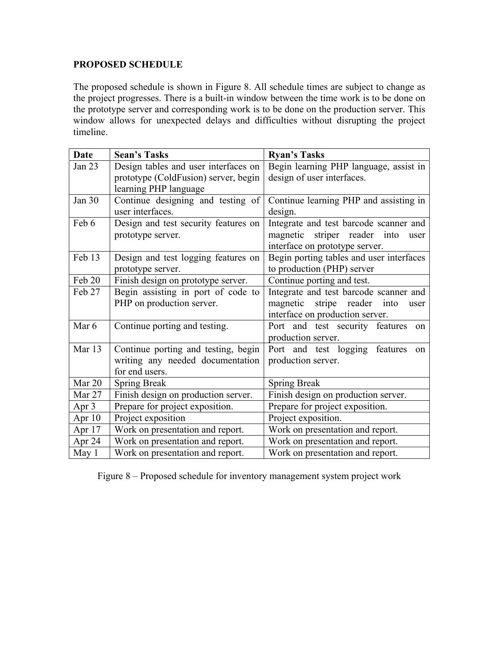# **PROPOSED SCHEDULE**

The proposed schedule is shown in Figure 8. All schedule times are subject to change as the project progresses. There is a built-in window between the time work is to be done on the prototype server and corresponding work is to be done on the production server. This window allows for unexpected delays and difficulties without disrupting the project timeline.

| Date     | <b>Sean's Tasks</b>                  | <b>Ryan's Tasks</b>                          |
|----------|--------------------------------------|----------------------------------------------|
| Jan 23   | Design tables and user interfaces on | Begin learning PHP language, assist in       |
|          | prototype (ColdFusion) server, begin | design of user interfaces.                   |
|          | learning PHP language                |                                              |
| Jan $30$ | Continue designing and testing of    | Continue learning PHP and assisting in       |
|          | user interfaces.                     | design.                                      |
| Feb 6    | Design and test security features on | Integrate and test barcode scanner and       |
|          | prototype server.                    | magnetic striper reader into<br>user         |
|          |                                      | interface on prototype server.               |
| Feb 13   | Design and test logging features on  | Begin porting tables and user interfaces     |
|          | prototype server.                    | to production (PHP) server                   |
| Feb 20   | Finish design on prototype server.   | Continue porting and test.                   |
| Feb 27   | Begin assisting in port of code to   | Integrate and test barcode scanner and       |
|          | PHP on production server.            | magnetic<br>stripe<br>reader<br>into<br>user |
|          |                                      | interface on production server.              |
| Mar 6    | Continue porting and testing.        | Port and test security features<br>on        |
|          |                                      | production server.                           |
| Mar 13   | Continue porting and testing, begin  | Port and test logging features<br>on         |
|          | writing any needed documentation     | production server.                           |
|          | for end users.                       |                                              |
| Mar 20   | <b>Spring Break</b>                  | <b>Spring Break</b>                          |
| Mar 27   | Finish design on production server.  | Finish design on production server.          |
| Apr $3$  | Prepare for project exposition.      | Prepare for project exposition.              |
| Apr 10   | Project exposition                   | Project exposition.                          |
| Apr $17$ | Work on presentation and report.     | Work on presentation and report.             |
| Apr 24   | Work on presentation and report.     | Work on presentation and report.             |
| May 1    | Work on presentation and report.     | Work on presentation and report.             |

Figure 8 – Proposed schedule for inventory management system project work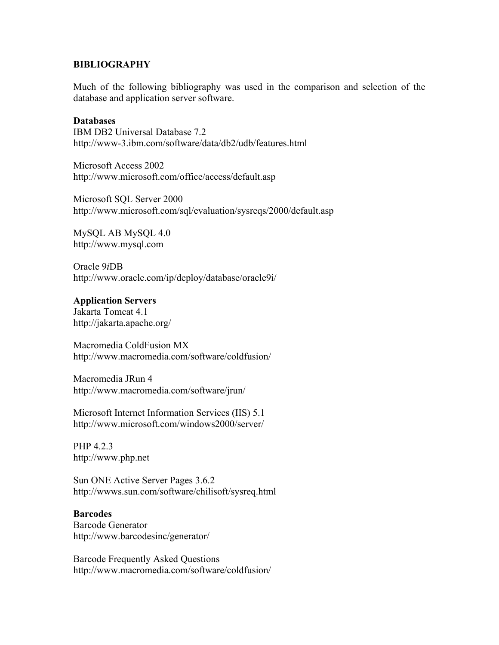#### **BIBLIOGRAPHY**

Much of the following bibliography was used in the comparison and selection of the database and application server software.

#### **Databases**

IBM DB2 Universal Database 7.2 http://www-3.ibm.com/software/data/db2/udb/features.html

Microsoft Access 2002 http://www.microsoft.com/office/access/default.asp

Microsoft SQL Server 2000 http://www.microsoft.com/sql/evaluation/sysreqs/2000/default.asp

MySQL AB MySQL 4.0 http://www.mysql.com

Oracle 9*i*DB http://www.oracle.com/ip/deploy/database/oracle9i/

#### **Application Servers**

Jakarta Tomcat 4.1 http://jakarta.apache.org/

Macromedia ColdFusion MX http://www.macromedia.com/software/coldfusion/

Macromedia JRun 4 http://www.macromedia.com/software/jrun/

Microsoft Internet Information Services (IIS) 5.1 http://www.microsoft.com/windows2000/server/

PHP 4.2.3 http://www.php.net

Sun ONE Active Server Pages 3.6.2 http://wwws.sun.com/software/chilisoft/sysreq.html

#### **Barcodes**

Barcode Generator http://www.barcodesinc/generator/

Barcode Frequently Asked Questions http://www.macromedia.com/software/coldfusion/